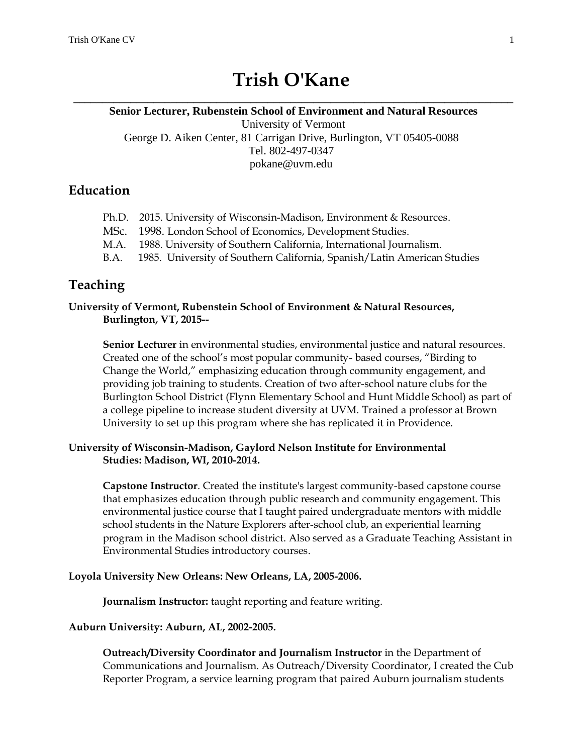# **Trish O'Kane**

# **\_\_\_\_\_\_\_\_\_\_\_\_\_\_\_\_\_\_\_\_\_\_\_\_\_\_\_\_\_\_\_\_\_\_\_\_\_\_\_\_\_\_\_\_\_\_\_\_\_\_\_\_\_\_\_\_\_\_\_\_\_\_\_\_\_\_\_\_\_\_\_\_\_\_\_\_\_ Senior Lecturer, Rubenstein School of Environment and Natural Resources** University of Vermont George D. Aiken Center, 81 Carrigan Drive, Burlington, VT 05405-0088 Tel. 802-497-0347 pokane@uvm.edu

# **Education**

- Ph.D. 2015. University of Wisconsin-Madison, Environment & Resources.
- MSc. 1998. London School of Economics, Development Studies.
- M.A. 1988. University of Southern California, International Journalism.
- B.A. 1985. University of Southern California, Spanish/Latin American Studies

# **Teaching**

### **University of Vermont, Rubenstein School of Environment & Natural Resources, Burlington, VT, 2015--**

**Senior Lecturer** in environmental studies, environmental justice and natural resources. Created one of the school's most popular community- based courses, "Birding to Change the World," emphasizing education through community engagement, and providing job training to students. Creation of two after-school nature clubs for the Burlington School District (Flynn Elementary School and Hunt Middle School) as part of a college pipeline to increase student diversity at UVM. Trained a professor at Brown University to set up this program where she has replicated it in Providence.

## **University of Wisconsin-Madison, Gaylord Nelson Institute for Environmental Studies: Madison, WI, 2010-2014.**

**Capstone Instructor**. Created the institute's largest community-based capstone course that emphasizes education through public research and community engagement. This environmental justice course that I taught paired undergraduate mentors with middle school students in the Nature Explorers after-school club, an experiential learning program in the Madison school district. Also served as a Graduate Teaching Assistant in Environmental Studies introductory courses.

### **Loyola University New Orleans: New Orleans, LA, 2005-2006.**

**Journalism Instructor:** taught reporting and feature writing.

### **Auburn University: Auburn, AL, 2002-2005.**

**Outreach/Diversity Coordinator and Journalism Instructor** in the Department of Communications and Journalism. As Outreach/Diversity Coordinator, I created the Cub Reporter Program, a service learning program that paired Auburn journalism students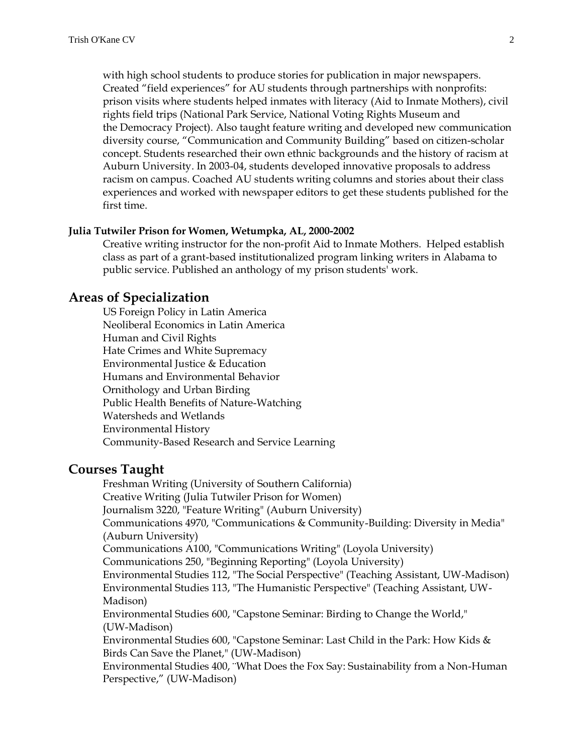with high school students to produce stories for publication in major newspapers. Created "field experiences" for AU students through partnerships with nonprofits: prison visits where students helped inmates with literacy (Aid to Inmate Mothers), civil rights field trips (National Park Service, National Voting Rights Museum and the Democracy Project). Also taught feature writing and developed new communication diversity course, "Communication and Community Building" based on citizen-scholar concept. Students researched their own ethnic backgrounds and the history of racism at Auburn University. In 2003-04, students developed innovative proposals to address racism on campus. Coached AU students writing columns and stories about their class experiences and worked with newspaper editors to get these students published for the first time.

#### **Julia Tutwiler Prison for Women, Wetumpka, AL, 2000-2002**

Creative writing instructor for the non-profit Aid to Inmate Mothers. Helped establish class as part of a grant-based institutionalized program linking writers in Alabama to public service. Published an anthology of my prison students' work.

### **Areas of Specialization**

US Foreign Policy in Latin America Neoliberal Economics in Latin America Human and Civil Rights Hate Crimes and White Supremacy Environmental Justice & Education Humans and Environmental Behavior Ornithology and Urban Birding Public Health Benefits of Nature-Watching Watersheds and Wetlands Environmental History Community-Based Research and Service Learning

### **Courses Taught**

Freshman Writing (University of Southern California) Creative Writing (Julia Tutwiler Prison for Women) Journalism 3220, "Feature Writing" (Auburn University) Communications 4970, "Communications & Community-Building: Diversity in Media" (Auburn University) Communications A100, "Communications Writing" (Loyola University) Communications 250, "Beginning Reporting" (Loyola University) Environmental Studies 112, "The Social Perspective" (Teaching Assistant, UW-Madison) Environmental Studies 113, "The Humanistic Perspective" (Teaching Assistant, UW-Madison) Environmental Studies 600, "Capstone Seminar: Birding to Change the World," (UW-Madison) Environmental Studies 600, "Capstone Seminar: Last Child in the Park: How Kids & Birds Can Save the Planet," (UW-Madison) Environmental Studies 400, ¨What Does the Fox Say: Sustainability from a Non-Human Perspective," (UW-Madison)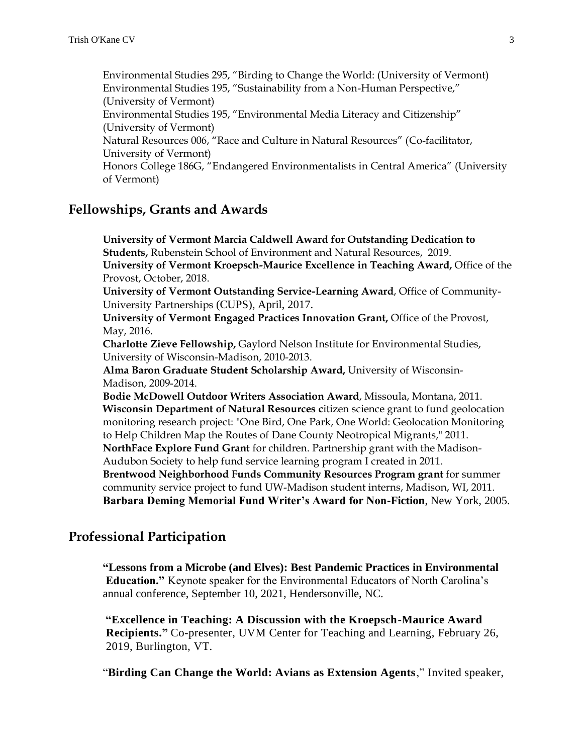Environmental Studies 295, "Birding to Change the World: (University of Vermont) Environmental Studies 195, "Sustainability from a Non-Human Perspective," (University of Vermont) Environmental Studies 195, "Environmental Media Literacy and Citizenship" (University of Vermont) Natural Resources 006, "Race and Culture in Natural Resources" (Co-facilitator, University of Vermont) Honors College 186G, "Endangered Environmentalists in Central America" (University of Vermont)

# **Fellowships, Grants and Awards**

**University of Vermont Marcia Caldwell Award for Outstanding Dedication to Students,** Rubenstein School of Environment and Natural Resources, 2019. **University of Vermont Kroepsch-Maurice Excellence in Teaching Award,** Office of the Provost, October, 2018.

**University of Vermont Outstanding Service-Learning Award**, Office of Community-University Partnerships (CUPS), April, 2017.

**University of Vermont Engaged Practices Innovation Grant,** Office of the Provost, May, 2016.

**Charlotte Zieve Fellowship,** Gaylord Nelson Institute for Environmental Studies, University of Wisconsin-Madison, 2010-2013.

**Alma Baron Graduate Student Scholarship Award,** University of Wisconsin-Madison, 2009-2014.

**Bodie McDowell Outdoor Writers Association Award**, Missoula, Montana, 2011. **Wisconsin Department of Natural Resources citizen science grant to fund geolocation** monitoring research project: "One Bird, One Park, One World: Geolocation Monitoring to Help Children Map the Routes of Dane County Neotropical Migrants," 2011. **NorthFace Explore Fund Grant** for children. Partnership grant with the Madison-Audubon Society to help fund service learning program I created in 2011. **Brentwood Neighborhood Funds Community Resources Program grant** for summer community service project to fund UW-Madison student interns, Madison, WI, 2011.

**Barbara Deming Memorial Fund Writer's Award for Non-Fiction**, New York, 2005.

# **Professional Participation**

**"Lessons from a Microbe (and Elves): Best Pandemic Practices in Environmental Education."** Keynote speaker for the Environmental Educators of North Carolina's annual conference, September 10, 2021, Hendersonville, NC.

**"Excellence in Teaching: A Discussion with the Kroepsch-Maurice Award Recipients."** Co-presenter, UVM Center for Teaching and Learning, February 26, 2019, Burlington, VT.

"**Birding Can Change the World: Avians as Extension Agents**," Invited speaker,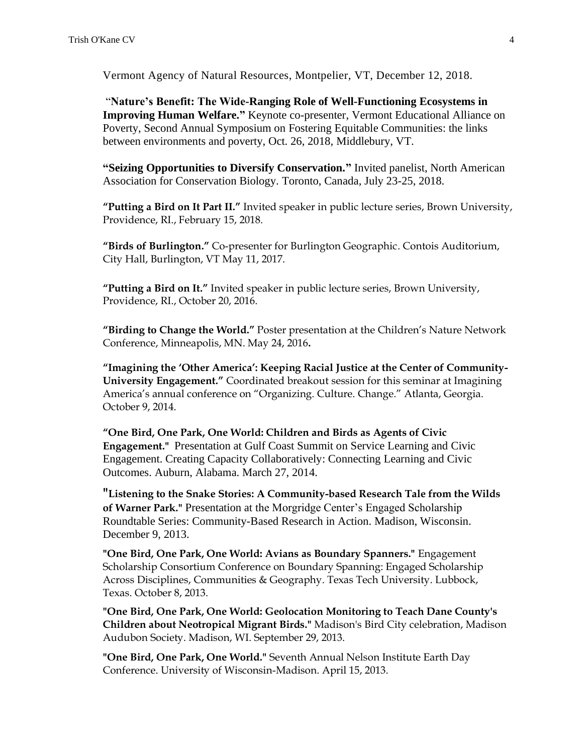Vermont Agency of Natural Resources, Montpelier, VT, December 12, 2018.

"**Nature's Benefit: The Wide-Ranging Role of Well-Functioning Ecosystems in Improving Human Welfare."** Keynote co-presenter, Vermont Educational Alliance on Poverty, Second Annual Symposium on Fostering Equitable Communities: the links between environments and poverty, Oct. 26, 2018, Middlebury, VT.

**"Seizing Opportunities to Diversify Conservation."** Invited panelist, North American Association for Conservation Biology. Toronto, Canada, July 23-25, 2018.

**"Putting a Bird on It Part II."** Invited speaker in public lecture series, Brown University, Providence, RI., February 15, 2018.

**"Birds of Burlington."** Co-presenter for Burlington Geographic. Contois Auditorium, City Hall, Burlington, VT May 11, 2017.

**"Putting a Bird on It."** Invited speaker in public lecture series, Brown University, Providence, RI., October 20, 2016.

**"Birding to Change the World."** Poster presentation at the Children's Nature Network Conference, Minneapolis, MN. May 24, 2016**.**

**"Imagining the 'Other America': Keeping Racial Justice at the Center of Community-University Engagement."** Coordinated breakout session for this seminar at Imagining America's annual conference on "Organizing. Culture. Change." Atlanta, Georgia. October 9, 2014.

**"One Bird, One Park, One World: Children and Birds as Agents of Civic Engagement."** Presentation at Gulf Coast Summit on Service Learning and Civic Engagement. Creating Capacity Collaboratively: Connecting Learning and Civic Outcomes. Auburn, Alabama. March 27, 2014.

**"Listening to the Snake Stories: A Community-based Research Tale from the Wilds of Warner Park."** Presentation at the Morgridge Center's Engaged Scholarship Roundtable Series: Community-Based Research in Action. Madison, Wisconsin. December 9, 2013.

**"One Bird, One Park, One World: Avians as Boundary Spanners."** Engagement Scholarship Consortium Conference on Boundary Spanning: Engaged Scholarship Across Disciplines, Communities & Geography. Texas Tech University. Lubbock, Texas. October 8, 2013.

**"One Bird, One Park, One World: Geolocation Monitoring to Teach Dane County's Children about Neotropical Migrant Birds."** Madison's Bird City celebration, Madison Audubon Society. Madison, WI. September 29, 2013.

**"One Bird, One Park, One World."** Seventh Annual Nelson Institute Earth Day Conference. University of Wisconsin-Madison. April 15, 2013.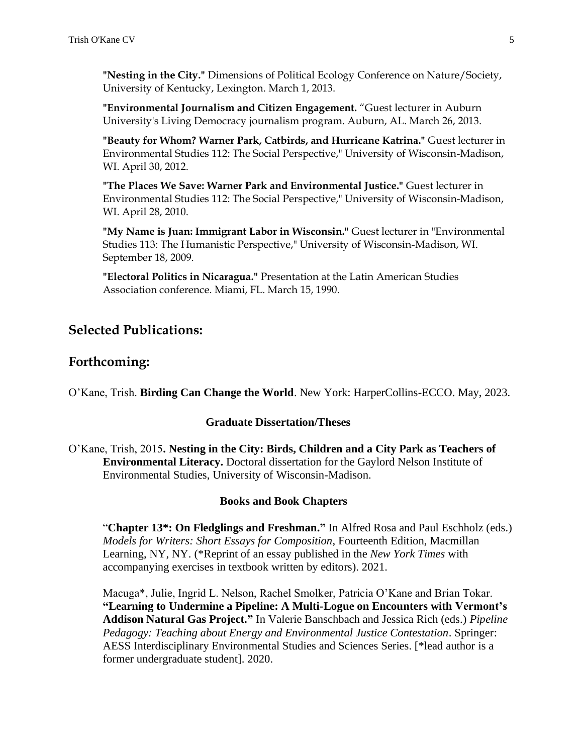**"Nesting in the City."** Dimensions of Political Ecology Conference on Nature/Society, University of Kentucky, Lexington. March 1, 2013.

**"Environmental Journalism and Citizen Engagement.** "Guest lecturer in Auburn University's Living Democracy journalism program. Auburn, AL. March 26, 2013.

**"Beauty for Whom? Warner Park, Catbirds, and Hurricane Katrina."** Guest lecturer in Environmental Studies 112: The Social Perspective," University of Wisconsin-Madison, WI. April 30, 2012.

**"The Places We Save: Warner Park and Environmental Justice."** Guest lecturer in Environmental Studies 112: The Social Perspective," University of Wisconsin-Madison, WI. April 28, 2010.

**"My Name is Juan: Immigrant Labor in Wisconsin."** Guest lecturer in "Environmental Studies 113: The Humanistic Perspective," University of Wisconsin-Madison, WI. September 18, 2009.

**"Electoral Politics in Nicaragua."** Presentation at the Latin American Studies Association conference. Miami, FL. March 15, 1990.

# **Selected Publications:**

## **Forthcoming:**

O'Kane, Trish. **Birding Can Change the World**. New York: HarperCollins-ECCO. May, 2023.

#### **Graduate Dissertation/Theses**

O'Kane, Trish, 2015**. Nesting in the City: Birds, Children and a City Park as Teachers of Environmental Literacy.** Doctoral dissertation for the Gaylord Nelson Institute of Environmental Studies, University of Wisconsin-Madison.

#### **Books and Book Chapters**

"**Chapter 13\*: On Fledglings and Freshman."** In Alfred Rosa and Paul Eschholz (eds.) *Models for Writers: Short Essays for Composition*, Fourteenth Edition, Macmillan Learning, NY, NY. (\*Reprint of an essay published in the *New York Times* with accompanying exercises in textbook written by editors). 2021.

Macuga\*, Julie, Ingrid L. Nelson, Rachel Smolker, Patricia O'Kane and Brian Tokar. **"Learning to Undermine a Pipeline: A Multi-Logue on Encounters with Vermont's Addison Natural Gas Project."** In Valerie Banschbach and Jessica Rich (eds.) *Pipeline Pedagogy: Teaching about Energy and Environmental Justice Contestation*. Springer: AESS Interdisciplinary Environmental Studies and Sciences Series. [\*lead author is a former undergraduate student]. 2020.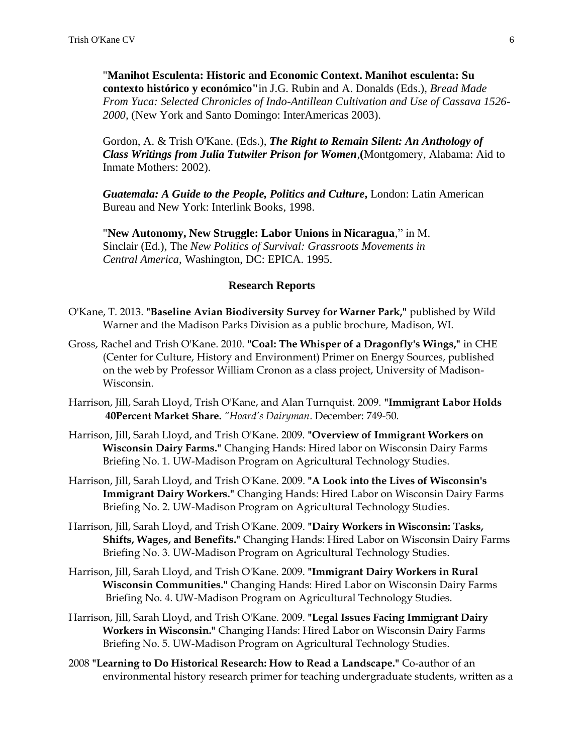"**Manihot Esculenta: Historic and Economic Context. Manihot esculenta: Su contexto histórico y económico"**in J.G. Rubin and A. Donalds (Eds.), *Bread Made From Yuca: Selected Chronicles of Indo-Antillean Cultivation and Use of Cassava 1526- 2000,* (New York and Santo Domingo: InterAmericas 2003).

Gordon, A. & Trish O'Kane. (Eds.), *The Right to Remain Silent: An Anthology of Class Writings from Julia Tutwiler Prison for Women*,**(**Montgomery, Alabama: Aid to Inmate Mothers: 2002).

*Guatemala: A Guide to the People, Politics and Culture***,** London: Latin American Bureau and New York: Interlink Books, 1998.

"**New Autonomy, New Struggle: Labor Unions in Nicaragua**," in M. Sinclair (Ed.), The *New Politics of Survival: Grassroots Movements in Central America*, Washington, DC: EPICA. 1995.

#### **Research Reports**

- O'Kane, T. 2013. **"Baseline Avian Biodiversity Survey for Warner Park,"** published by Wild Warner and the Madison Parks Division as a public brochure, Madison, WI.
- Gross, Rachel and Trish O'Kane. 2010. **"Coal: The Whisper of a Dragonfly's Wings,"** in CHE (Center for Culture, History and Environment) Primer on Energy Sources, published on the web by Professor William Cronon as a class project, University of Madison-Wisconsin.
- Harrison, Jill, Sarah Lloyd, Trish O'Kane, and Alan Turnquist. 2009. **"Immigrant Labor Holds 40Percent Market Share.** *"Hoard's Dairyman*. December: 749-50.
- Harrison, Jill, Sarah Lloyd, and Trish O'Kane. 2009. **"Overview of Immigrant Workers on Wisconsin Dairy Farms."** Changing Hands: Hired labor on Wisconsin Dairy Farms Briefing No. 1. UW-Madison Program on Agricultural Technology Studies.
- Harrison, Jill, Sarah Lloyd, and Trish O'Kane. 2009. **"A Look into the Lives of Wisconsin's Immigrant Dairy Workers."** Changing Hands: Hired Labor on Wisconsin Dairy Farms Briefing No. 2. UW-Madison Program on Agricultural Technology Studies.
- Harrison, Jill, Sarah Lloyd, and Trish O'Kane. 2009. **"Dairy Workers in Wisconsin: Tasks, Shifts, Wages, and Benefits."** Changing Hands: Hired Labor on Wisconsin Dairy Farms Briefing No. 3. UW-Madison Program on Agricultural Technology Studies.
- Harrison, Jill, Sarah Lloyd, and Trish O'Kane. 2009. **"Immigrant Dairy Workers in Rural Wisconsin Communities."** Changing Hands: Hired Labor on Wisconsin Dairy Farms Briefing No. 4. UW-Madison Program on Agricultural Technology Studies.
- Harrison, Jill, Sarah Lloyd, and Trish O'Kane. 2009. **"Legal Issues Facing Immigrant Dairy Workers in Wisconsin."** Changing Hands: Hired Labor on Wisconsin Dairy Farms Briefing No. 5. UW-Madison Program on Agricultural Technology Studies.
- 2008 **"Learning to Do Historical Research: How to Read a Landscape."** Co-author of an environmental history research primer for teaching undergraduate students, written as a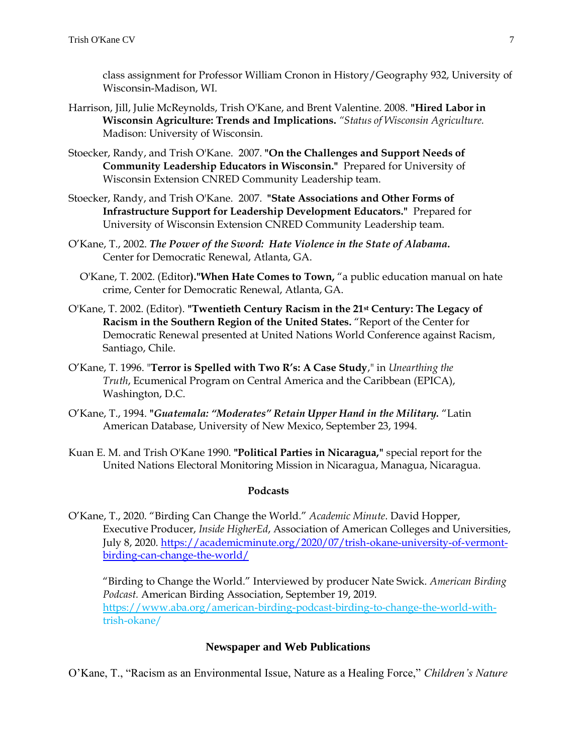class assignment for Professor William Cronon in History/Geography 932, University of Wisconsin-Madison, WI.

- Harrison, Jill, Julie McReynolds, Trish O'Kane, and Brent Valentine. 2008. **"Hired Labor in Wisconsin Agriculture: Trends and Implications.** *"Status of Wisconsin Agriculture.* Madison: University of Wisconsin.
- Stoecker, Randy, and Trish O'Kane. 2007. **"On the Challenges and Support Needs of Community Leadership Educators in Wisconsin."** Prepared for University of Wisconsin Extension CNRED Community Leadership team.
- Stoecker, Randy, and Trish O'Kane. 2007. **"State Associations and Other Forms of Infrastructure Support for Leadership Development Educators."** Prepared for University of Wisconsin Extension CNRED Community Leadership team.
- O'Kane, T., 2002. *The Power of the Sword: Hate Violence in the State of Alabama.* Center for Democratic Renewal, Atlanta, GA.
	- O'Kane, T. 2002. (Editor**)."When Hate Comes to Town,** "a public education manual on hate crime, Center for Democratic Renewal, Atlanta, GA.
- O'Kane, T. 2002. (Editor). **"Twentieth Century Racism in the 21st Century: The Legacy of Racism in the Southern Region of the United States.** "Report of the Center for Democratic Renewal presented at United Nations World Conference against Racism, Santiago, Chile.
- O'Kane, T. 1996. "**Terror is Spelled with Two R's: A Case Study**," in *Unearthing the Truth*, Ecumenical Program on Central America and the Caribbean (EPICA), Washington, D.C.
- O'Kane, T., 1994. **"***Guatemala: "Moderates" Retain Upper Hand in the Military.* "Latin American Database, University of New Mexico, September 23, 1994.
- Kuan E. M. and Trish O'Kane 1990. **"Political Parties in Nicaragua,"** special report for the United Nations Electoral Monitoring Mission in Nicaragua, Managua, Nicaragua.

#### **Podcasts**

O'Kane, T., 2020. "Birding Can Change the World." *Academic Minute*. David Hopper, Executive Producer, *Inside HigherEd*, Association of American Colleges and Universities, July 8, 2020. [https://academicminute.org/2020/07/trish-okane-university-of-vermont](https://academicminute.org/2020/07/trish-okane-university-of-vermont-birding-can-change-the-world/)[birding-can-change-the-world/](https://academicminute.org/2020/07/trish-okane-university-of-vermont-birding-can-change-the-world/)

"Birding to Change the World." Interviewed by producer Nate Swick. *American Birding Podcast.* American Birding Association, September 19, 2019. [https://www.aba.org/american-birding-podcast-birding-to-change-the-world-with](https://www.aba.org/american-birding-podcast-birding-to-change-the-world-with-)trish-okane/

### **Newspaper and Web Publications**

O'Kane, T., "Racism as an Environmental Issue, Nature as a Healing Force," *Children's Nature*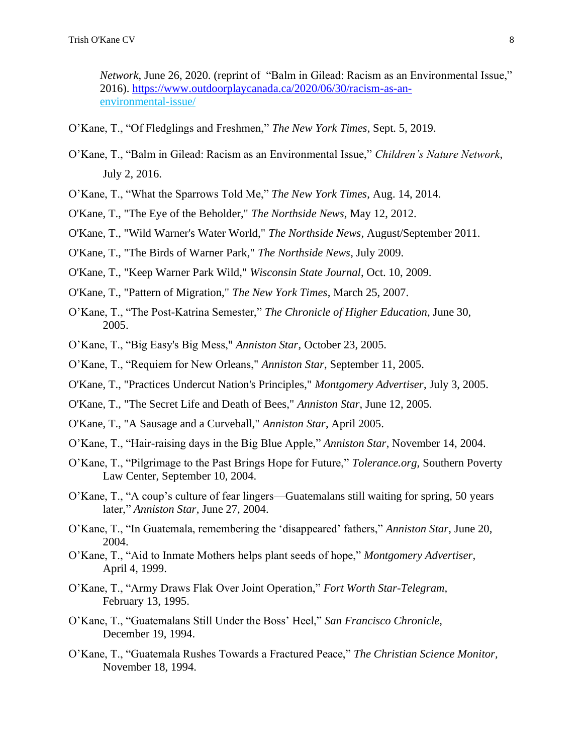*Network*, June 26, 2020. (reprint of "Balm in Gilead: Racism as an Environmental Issue," 2016). [https://www.outdoorplaycanada.ca/2020/06/30/racism-as-an](https://www.outdoorplaycanada.ca/2020/06/30/racism-as-an-) environmental-issue/

- O'Kane, T., "Of Fledglings and Freshmen," *The New York Times*, Sept. 5, 2019.
- O'Kane, T., "Balm in Gilead: Racism as an Environmental Issue," *Children's Nature Network*, July 2, 2016.
- O'Kane, T., "What the Sparrows Told Me," *The New York Times*, Aug. 14, 2014.
- O'Kane, T., "The Eye of the Beholder," *The Northside News*, May 12, 2012.
- O'Kane, T., "Wild Warner's Water World," *The Northside News*, August/September 2011.
- O'Kane, T., "The Birds of Warner Park," *The Northside News*, July 2009.
- O'Kane, T., "Keep Warner Park Wild," *Wisconsin State Journal*, Oct. 10, 2009.
- O'Kane, T., "Pattern of Migration," *The New York Times*, March 25, 2007.
- O'Kane, T., "The Post-Katrina Semester," *The Chronicle of Higher Education*, June 30, 2005.
- O'Kane, T., "Big Easy's Big Mess," *Anniston Star*, October 23, 2005.
- O'Kane, T., "Requiem for New Orleans," *Anniston Star*, September 11, 2005.
- O'Kane, T., "Practices Undercut Nation's Principles," *Montgomery Advertiser*, July 3, 2005.
- O'Kane, T., "The Secret Life and Death of Bees," *Anniston Star*, June 12, 2005.
- O'Kane, T., "A Sausage and a Curveball," *Anniston Star*, April 2005.
- O'Kane, T., "Hair-raising days in the Big Blue Apple," *Anniston Star*, November 14, 2004.
- O'Kane, T., "Pilgrimage to the Past Brings Hope for Future," *Tolerance.org,* Southern Poverty Law Center, September 10, 2004.
- O'Kane, T., "A coup's culture of fear lingers—Guatemalans still waiting for spring, 50 years later," *Anniston Star*, June 27, 2004.
- O'Kane, T., "In Guatemala, remembering the 'disappeared' fathers," *Anniston Star*, June 20, 2004.
- O'Kane, T., "Aid to Inmate Mothers helps plant seeds of hope," *Montgomery Advertiser,* April 4, 1999.
- O'Kane, T., "Army Draws Flak Over Joint Operation," *Fort Worth Star-Telegram,* February 13, 1995.
- O'Kane, T., "Guatemalans Still Under the Boss' Heel," *San Francisco Chronicle,* December 19, 1994.
- O'Kane, T., "Guatemala Rushes Towards a Fractured Peace," *The Christian Science Monitor,* November 18, 1994.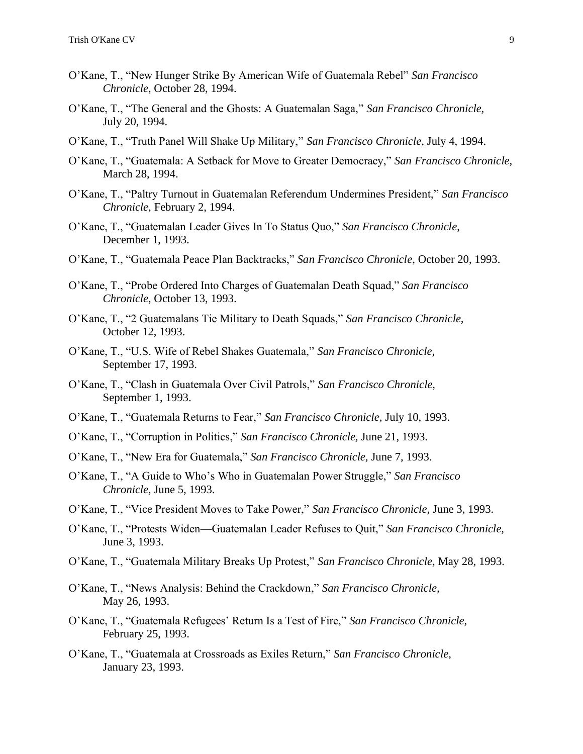- O'Kane, T., "New Hunger Strike By American Wife of Guatemala Rebel" *San Francisco Chronicle*, October 28, 1994.
- O'Kane, T., "The General and the Ghosts: A Guatemalan Saga," *San Francisco Chronicle,* July 20, 1994.
- O'Kane, T., "Truth Panel Will Shake Up Military," *San Francisco Chronicle,* July 4, 1994.
- O'Kane, T., "Guatemala: A Setback for Move to Greater Democracy," *San Francisco Chronicle,* March 28, 1994.
- O'Kane, T., "Paltry Turnout in Guatemalan Referendum Undermines President," *San Francisco Chronicle*, February 2, 1994.
- O'Kane, T., "Guatemalan Leader Gives In To Status Quo," *San Francisco Chronicle*, December 1, 1993.
- O'Kane, T., "Guatemala Peace Plan Backtracks," *San Francisco Chronicle*, October 20, 1993.
- O'Kane, T., "Probe Ordered Into Charges of Guatemalan Death Squad," *San Francisco Chronicle*, October 13, 1993.
- O'Kane, T., "2 Guatemalans Tie Military to Death Squads," *San Francisco Chronicle,* October 12, 1993.
- O'Kane, T., "U.S. Wife of Rebel Shakes Guatemala," *San Francisco Chronicle,* September 17, 1993.
- O'Kane, T., "Clash in Guatemala Over Civil Patrols," *San Francisco Chronicle,* September 1, 1993.
- O'Kane, T., "Guatemala Returns to Fear," *San Francisco Chronicle,* July 10, 1993.
- O'Kane, T., "Corruption in Politics," *San Francisco Chronicle,* June 21, 1993.
- O'Kane, T., "New Era for Guatemala," *San Francisco Chronicle,* June 7, 1993.
- O'Kane, T., "A Guide to Who's Who in Guatemalan Power Struggle," *San Francisco Chronicle,* June 5, 1993.
- O'Kane, T., "Vice President Moves to Take Power," *San Francisco Chronicle,* June 3, 1993.
- O'Kane, T., "Protests Widen—Guatemalan Leader Refuses to Quit," *San Francisco Chronicle,* June 3, 1993.
- O'Kane, T., "Guatemala Military Breaks Up Protest," *San Francisco Chronicle,* May 28, 1993.
- O'Kane, T., "News Analysis: Behind the Crackdown," *San Francisco Chronicle,* May 26, 1993.
- O'Kane, T., "Guatemala Refugees' Return Is a Test of Fire," *San Francisco Chronicle*, February 25, 1993.
- O'Kane, T., "Guatemala at Crossroads as Exiles Return," *San Francisco Chronicle*, January 23, 1993.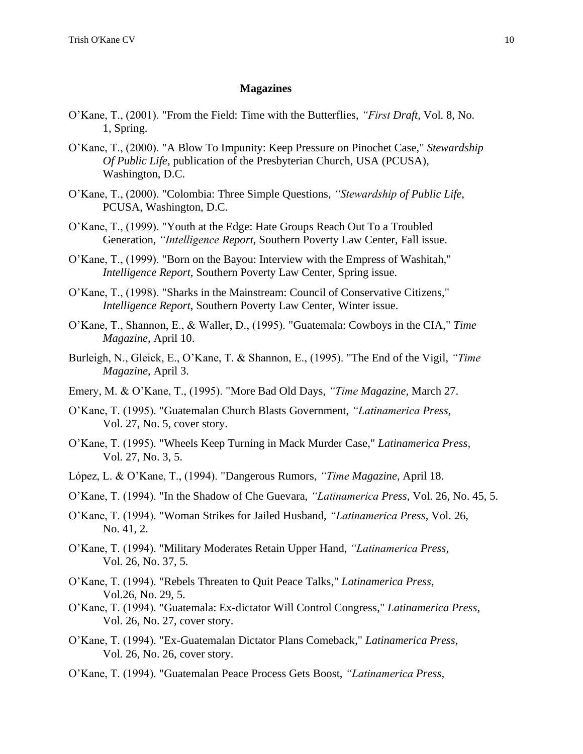#### **Magazines**

- O'Kane, T., (2001). "From the Field: Time with the Butterflies, *"First Draft,* Vol. 8, No. 1, Spring.
- O'Kane, T., (2000). "A Blow To Impunity: Keep Pressure on Pinochet Case," *Stewardship Of Public Life*, publication of the Presbyterian Church, USA (PCUSA), Washington, D.C.
- O'Kane, T., (2000). "Colombia: Three Simple Questions, *"Stewardship of Public Life*, PCUSA, Washington, D.C.
- O'Kane, T., (1999). "Youth at the Edge: Hate Groups Reach Out To a Troubled Generation, *"Intelligence Report*, Southern Poverty Law Center, Fall issue.
- O'Kane, T., (1999). "Born on the Bayou: Interview with the Empress of Washitah," *Intelligence Report*, Southern Poverty Law Center, Spring issue.
- O'Kane, T., (1998). "Sharks in the Mainstream: Council of Conservative Citizens," *Intelligence Report*, Southern Poverty Law Center, Winter issue.
- O'Kane, T., Shannon, E., & Waller, D., (1995). "Guatemala: Cowboys in the CIA," *Time Magazine*, April 10.
- Burleigh, N., Gleick, E., O'Kane, T. & Shannon, E., (1995). "The End of the Vigil, *"Time Magazine*, April 3.
- Emery, M. & O'Kane, T., (1995). "More Bad Old Days, *"Time Magazine,* March 27.
- O'Kane, T. (1995). "Guatemalan Church Blasts Government, *"Latinamerica Press,* Vol. 27, No. 5, cover story.
- O'Kane, T. (1995). "Wheels Keep Turning in Mack Murder Case," *Latinamerica Press,* Vol. 27, No. 3, 5.
- López, L. & O'Kane, T., (1994). "Dangerous Rumors, *"Time Magazine*, April 18.
- O'Kane, T. (1994). "In the Shadow of Che Guevara, *"Latinamerica Press,* Vol. 26, No. 45, 5.
- O'Kane, T. (1994). "Woman Strikes for Jailed Husband, *"Latinamerica Press,* Vol. 26, No. 41, 2.
- O'Kane, T. (1994). "Military Moderates Retain Upper Hand, *"Latinamerica Press,* Vol. 26, No. 37, 5.
- O'Kane, T. (1994). "Rebels Threaten to Quit Peace Talks," *Latinamerica Press,*  Vol.26, No. 29, 5.
- O'Kane, T. (1994). "Guatemala: Ex-dictator Will Control Congress," *Latinamerica Press,* Vol. 26, No. 27, cover story.
- O'Kane, T. (1994). "Ex-Guatemalan Dictator Plans Comeback," *Latinamerica Press,* Vol. 26, No. 26, cover story.
- O'Kane, T. (1994). "Guatemalan Peace Process Gets Boost, *"Latinamerica Press,*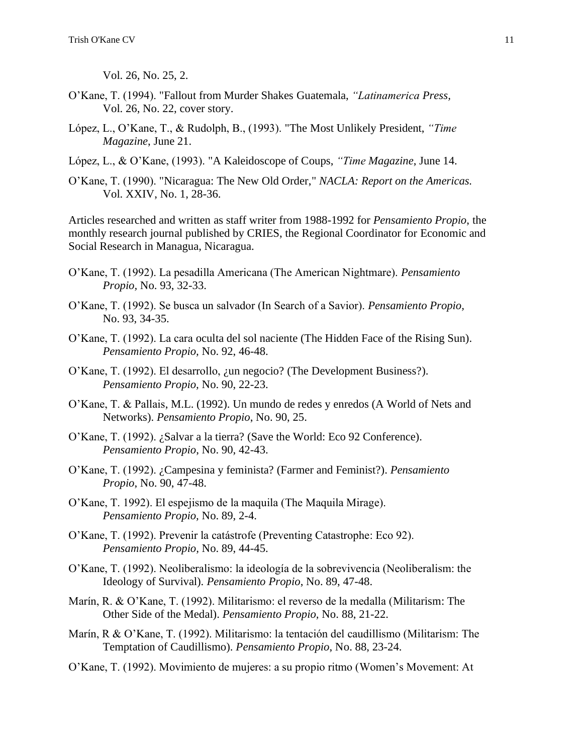Vol. 26, No. 25, 2.

- O'Kane, T. (1994). "Fallout from Murder Shakes Guatemala, *"Latinamerica Press,* Vol. 26, No. 22, cover story.
- López, L., O'Kane, T., & Rudolph, B., (1993). "The Most Unlikely President, *"Time Magazine*, June 21.
- López, L., & O'Kane, (1993). "A Kaleidoscope of Coups, *"Time Magazine*, June 14.
- O'Kane, T. (1990). "Nicaragua: The New Old Order," *NACLA: Report on the Americas.* Vol. XXIV, No. 1, 28-36.

Articles researched and written as staff writer from 1988-1992 for *Pensamiento Propio*, the monthly research journal published by CRIES, the Regional Coordinator for Economic and Social Research in Managua, Nicaragua.

- O'Kane, T. (1992). La pesadilla Americana (The American Nightmare). *Pensamiento Propio,* No. 93, 32-33.
- O'Kane, T. (1992). Se busca un salvador (In Search of a Savior). *Pensamiento Propio,* No. 93, 34-35.
- O'Kane, T. (1992). La cara oculta del sol naciente (The Hidden Face of the Rising Sun). *Pensamiento Propio,* No. 92, 46-48.
- O'Kane, T. (1992). El desarrollo, ¿un negocio? (The Development Business?). *Pensamiento Propio,* No. 90, 22-23.
- O'Kane, T. & Pallais, M.L. (1992). Un mundo de redes y enredos (A World of Nets and Networks). *Pensamiento Propio*, No. 90, 25.
- O'Kane, T. (1992). ¿Salvar a la tierra? (Save the World: Eco 92 Conference). *Pensamiento Propio*, No. 90, 42-43.
- O'Kane, T. (1992). ¿Campesina y feminista? (Farmer and Feminist?). *Pensamiento Propio*, No. 90, 47-48.
- O'Kane, T. 1992). El espejismo de la maquila (The Maquila Mirage). *Pensamiento Propio,* No. 89, 2-4.
- O'Kane, T. (1992). Prevenir la catástrofe (Preventing Catastrophe: Eco 92). *Pensamiento Propio,* No. 89, 44-45.
- O'Kane, T. (1992). Neoliberalismo: la ideología de la sobrevivencia (Neoliberalism: the Ideology of Survival). *Pensamiento Propio*, No. 89, 47-48.
- Marín, R. & O'Kane, T. (1992). Militarismo: el reverso de la medalla (Militarism: The Other Side of the Medal). *Pensamiento Propio,* No. 88, 21-22.
- Marín, R & O'Kane, T. (1992). Militarismo: la tentación del caudillismo (Militarism: The Temptation of Caudillismo). *Pensamiento Propio*, No. 88, 23-24.
- O'Kane, T. (1992). Movimiento de mujeres: a su propio ritmo (Women's Movement: At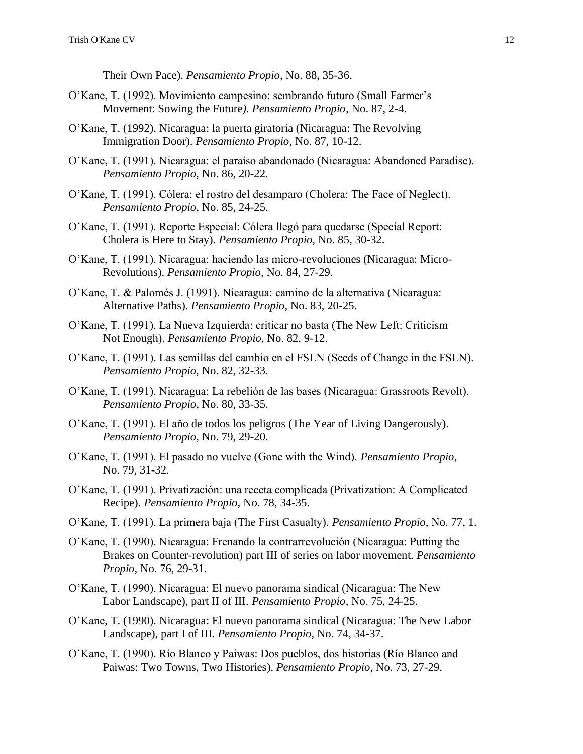Their Own Pace). *Pensamiento Propio*, No. 88, 35-36.

- O'Kane, T. (1992). Movimiento campesino: sembrando futuro (Small Farmer's Movement: Sowing the Future*). Pensamiento Propio*, No. 87, 2-4.
- O'Kane, T. (1992). Nicaragua: la puerta giratoria (Nicaragua: The Revolving Immigration Door). *Pensamiento Propio*, No. 87, 10-12.
- O'Kane, T. (1991). Nicaragua: el paraíso abandonado (Nicaragua: Abandoned Paradise). *Pensamiento Propio*, No. 86, 20-22.
- O'Kane, T. (1991). Cólera: el rostro del desamparo (Cholera: The Face of Neglect). *Pensamiento Propio*, No. 85, 24-25.
- O'Kane, T. (1991). Reporte Especial: Cólera llegó para quedarse (Special Report: Cholera is Here to Stay). *Pensamiento Propio*, No. 85, 30-32.
- O'Kane, T. (1991). Nicaragua: haciendo las micro-revoluciones (Nicaragua: Micro-Revolutions). *Pensamiento Propio*, No. 84, 27-29.
- O'Kane, T. & Palomés J. (1991). Nicaragua: camino de la alternativa (Nicaragua: Alternative Paths). *Pensamiento Propio*, No. 83, 20-25.
- O'Kane, T. (1991). La Nueva Izquierda: criticar no basta (The New Left: Criticism Not Enough). *Pensamiento Propio*, No. 82, 9-12.
- O'Kane, T. (1991). Las semillas del cambio en el FSLN (Seeds of Change in the FSLN). *Pensamiento Propio*, No. 82, 32-33.
- O'Kane, T. (1991). Nicaragua: La rebelión de las bases (Nicaragua: Grassroots Revolt). *Pensamiento Propio*, No. 80, 33-35.
- O'Kane, T. (1991). El año de todos los peligros (The Year of Living Dangerously). *Pensamiento Propio*, No. 79, 29-20.
- O'Kane, T. (1991). El pasado no vuelve (Gone with the Wind). *Pensamiento Propio*, No. 79, 31-32.
- O'Kane, T. (1991). Privatización: una receta complicada (Privatization: A Complicated Recipe). *Pensamiento Propio*, No. 78, 34-35.
- O'Kane, T. (1991). La primera baja (The First Casualty). *Pensamiento Propio*, No. 77, 1.
- O'Kane, T. (1990). Nicaragua: Frenando la contrarrevolución (Nicaragua: Putting the Brakes on Counter-revolution) part III of series on labor movement. *Pensamiento Propio*, No. 76, 29-31.
- O'Kane, T. (1990). Nicaragua: El nuevo panorama sindical (Nicaragua: The New Labor Landscape), part II of III. *Pensamiento Propio*, No. 75, 24-25.
- O'Kane, T. (1990). Nicaragua: El nuevo panorama sindical (Nicaragua: The New Labor Landscape), part I of III. *Pensamiento Propio*, No. 74, 34-37.
- O'Kane, T. (1990). Río Blanco y Paiwas: Dos pueblos, dos historias (Río Blanco and Paiwas: Two Towns, Two Histories). *Pensamiento Propio*, No. 73, 27-29.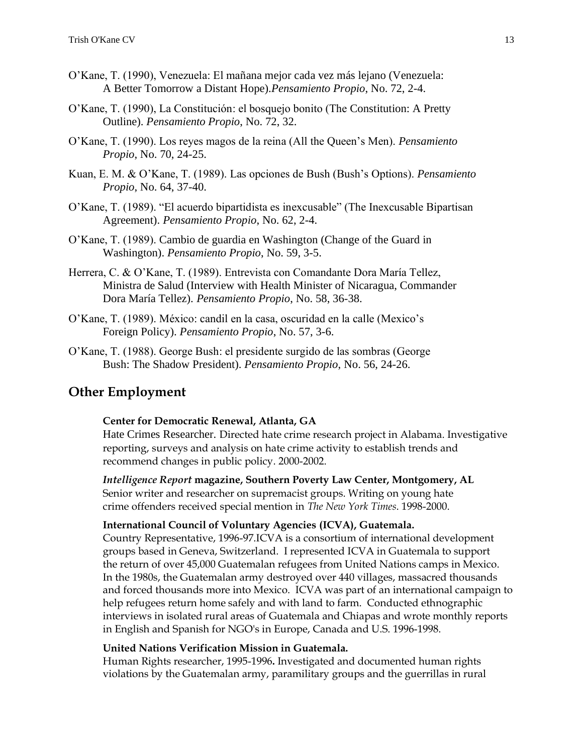- O'Kane, T. (1990), Venezuela: El mañana mejor cada vez más lejano (Venezuela: A Better Tomorrow a Distant Hope).*Pensamiento Propio*, No. 72, 2-4.
- O'Kane, T. (1990), La Constitución: el bosquejo bonito (The Constitution: A Pretty Outline). *Pensamiento Propio*, No. 72, 32.
- O'Kane, T. (1990). Los reyes magos de la reina (All the Queen's Men). *Pensamiento Propio*, No. 70, 24-25.
- Kuan, E. M. & O'Kane, T. (1989). Las opciones de Bush (Bush's Options). *Pensamiento Propio*, No. 64, 37-40.
- O'Kane, T. (1989). "El acuerdo bipartidista es inexcusable" (The Inexcusable Bipartisan Agreement). *Pensamiento Propio*, No. 62, 2-4.
- O'Kane, T. (1989). Cambio de guardia en Washington (Change of the Guard in Washington). *Pensamiento Propio*, No. 59, 3-5.
- Herrera, C. & O'Kane, T. (1989). Entrevista con Comandante Dora María Tellez, Ministra de Salud (Interview with Health Minister of Nicaragua, Commander Dora María Tellez). *Pensamiento Propio*, No. 58, 36-38.
- O'Kane, T. (1989). México: candil en la casa, oscuridad en la calle (Mexico's Foreign Policy). *Pensamiento Propio*, No. 57, 3-6.
- O'Kane, T. (1988). George Bush: el presidente surgido de las sombras (George Bush: The Shadow President). *Pensamiento Propio*, No. 56, 24-26.

# **Other Employment**

### **Center for Democratic Renewal, Atlanta, GA**

Hate Crimes Researcher. Directed hate crime research project in Alabama. Investigative reporting, surveys and analysis on hate crime activity to establish trends and recommend changes in public policy. 2000-2002.

*Intelligence Report* **magazine, Southern Poverty Law Center, Montgomery, AL** Senior writer and researcher on supremacist groups. Writing on young hate crime offenders received special mention in *The New York Times*. 1998-2000.

#### **International Council of Voluntary Agencies (ICVA), Guatemala.**

Country Representative, 1996-97.ICVA is a consortium of international development groups based in Geneva, Switzerland. I represented ICVA in Guatemala to support the return of over 45,000 Guatemalan refugees from United Nations camps in Mexico. In the 1980s, the Guatemalan army destroyed over 440 villages, massacred thousands and forced thousands more into Mexico. ICVA was part of an international campaign to help refugees return home safely and with land to farm. Conducted ethnographic interviews in isolated rural areas of Guatemala and Chiapas and wrote monthly reports in English and Spanish for NGO's in Europe, Canada and U.S. 1996-1998.

#### **United Nations Verification Mission in Guatemala.**

Human Rights researcher, 1995-1996**.** Investigated and documented human rights violations by the Guatemalan army, paramilitary groups and the guerrillas in rural